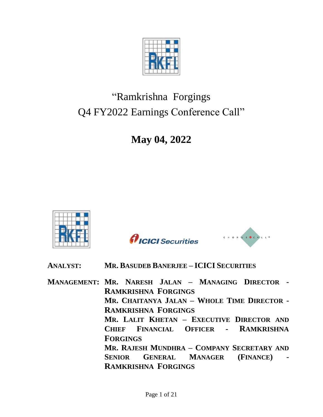

# "Ramkrishna Forgings Q4 FY2022 Earnings Conference Call"

**May 04, 2022**



*AICICI* Securities



# **ANALYST: MR. BASUDEB BANERJEE – ICICI SECURITIES**

**MANAGEMENT: MR. NARESH JALAN – MANAGING DIRECTOR - RAMKRISHNA FORGINGS MR. CHAITANYA JALAN – WHOLE TIME DIRECTOR - RAMKRISHNA FORGINGS MR. LALIT KHETAN – EXECUTIVE DIRECTOR AND CHIEF FINANCIAL OFFICER - RAMKRISHNA FORGINGS MR. RAJESH MUNDHRA – COMPANY SECRETARY AND SENIOR GENERAL MANAGER (FINANCE) - RAMKRISHNA FORGINGS**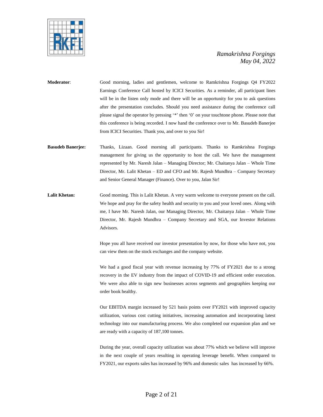

**Moderator**: Good morning, ladies and gentlemen, welcome to Ramkrishna Forgings Q4 FY2022 Earnings Conference Call hosted by ICICI Securities. As a reminder, all participant lines will be in the listen only mode and there will be an opportunity for you to ask questions after the presentation concludes. Should you need assistance during the conference call please signal the operator by pressing '\*' then '0' on your touchtone phone. Please note that this conference is being recorded. I now hand the conference over to Mr. Basudeb Banerjee from ICICI Securities. Thank you, and over to you Sir!

- **Basudeb Banerjee:** Thanks, Lizaan. Good morning all participants. Thanks to Ramkrishna Forgings management for giving us the opportunity to host the call. We have the management represented by Mr. Naresh Jalan – Managing Director; Mr. Chaitanya Jalan – Whole Time Director, Mr. Lalit Khetan – ED and CFO and Mr. Rajesh Mundhra – Company Secretary and Senior General Manager (Finance). Over to you, Jalan Sir!
- **Lalit Khetan:** Good morning. This is Lalit Khetan. A very warm welcome to everyone present on the call. We hope and pray for the safety health and security to you and your loved ones. Along with me, I have Mr. Naresh Jalan, our Managing Director, Mr. Chaitanya Jalan – Whole Time Director, Mr. Rajesh Mundhra – Company Secretary and SGA, our Investor Relations Advisors.

Hope you all have received our investor presentation by now, for those who have not, you can view them on the stock exchanges and the company website.

We had a good fiscal year with revenue increasing by 77% of FY2021 due to a strong recovery in the EV industry from the impact of COVID-19 and efficient order execution. We were also able to sign new businesses across segments and geographies keeping our order book healthy.

Our EBITDA margin increased by 521 basis points over FY2021 with improved capacity utilization, various cost cutting initiatives, increasing automation and incorporating latest technology into our manufacturing process. We also completed our expansion plan and we are ready with a capacity of 187,100 tonnes.

During the year, overall capacity utilization was about 77% which we believe will improve in the next couple of years resulting in operating leverage benefit. When compared to FY2021, our exports sales has increased by 96% and domestic sales has increased by 66%.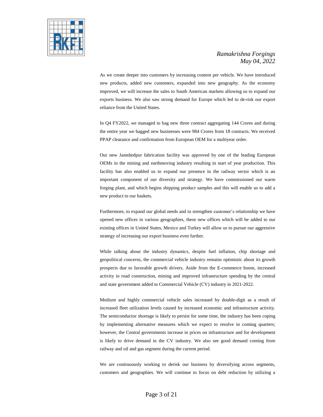

As we create deeper into customers by increasing content per vehicle. We have introduced new products, added new customers, expanded into new geography. As the economy improved, we will increase the sales to South American markets allowing us to expand our exports business. We also saw strong demand for Europe which led to de-risk our export reliance from the United States.

In Q4 FY2022, we managed to bag new three contract aggregating 144 Crores and during the entire year we bagged new businesses were 984 Crores from 18 contracts. We received PPAP clearance and confirmation from European OEM for a multiyear order.

Our new Jamshedpur fabrication facility was approved by one of the leading European OEMs in the mining and earthmoving industry resulting in start of year production. This facility has also enabled us to expand our presence in the railway sector which is an important component of our diversity and strategy. We have commissioned our warm forging plant, and which begins shipping product samples and this will enable us to add a new product to our baskets.

Furthermore, to expand our global needs and to strengthen customer's relationship we have opened new offices in various geographies, these new offices which will be added to our existing offices in United States, Mexico and Turkey will allow us to pursue our aggressive strategy of increasing our export business even further.

While talking about the industry dynamics, despite fuel inflation, chip shortage and geopolitical concerns, the commercial vehicle industry remains optimistic about its growth prospects due to favorable growth drivers. Aside from the E-commerce boom, increased activity in road construction, mining and improved infrastructure spending by the central and state government added to Commercial Vehicle (CV) industry in 2021-2022.

Medium and highly commercial vehicle sales increased by double-digit as a result of increased fleet utilization levels caused by increased economic and infrastructure activity. The semiconductor shortage is likely to persist for some time, the industry has been coping by implementing alternative measures which we expect to resolve in coming quarters; however, the Central governments increase in prices on infrastructure and for development is likely to drive demand in the CV industry. We also see good demand coming from railway and oil and gas segment during the current period.

We are continuously working to derisk our business by diversifying across segments, customers and geographies. We will continue to focus on debt reduction by utilizing a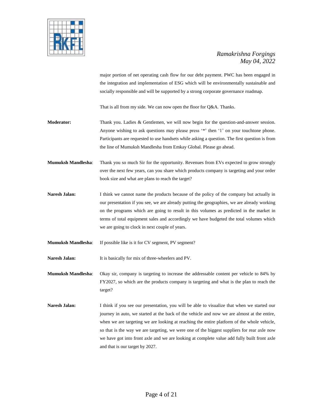

major portion of net operating cash flow for our debt payment. PWC has been engaged in the integration and implementation of ESG which will be environmentally sustainable and socially responsible and will be supported by a strong corporate governance roadmap.

That is all from my side. We can now open the floor for Q&A. Thanks.

- **Moderator:** Thank you. Ladies & Gentlemen, we will now begin for the question-and-answer session. Anyone wishing to ask questions may please press '\*' then '1' on your touchtone phone. Participants are requested to use handsets while asking a question. The first question is from the line of Mumuksh Mandlesha from Emkay Global. Please go ahead.
- **Mumuksh Mandlesha**: Thank you so much Sir for the opportunity. Revenues from EVs expected to grow strongly over the next few years, can you share which products company is targeting and your order book size and what are plans to reach the target?
- **Naresh Jalan:** I think we cannot name the products because of the policy of the company but actually in our presentation if you see, we are already putting the geographies, we are already working on the programs which are going to result in this volumes as predicted in the market in terms of total equipment sales and accordingly we have budgeted the total volumes which we are going to clock in next couple of years.
- **Mumuksh Mandlesha**: If possible like is it for CV segment, PV segment?

Naresh Jalan: It is basically for mix of three-wheelers and PV.

**Mumuksh Mandlesha**: Okay sir, company is targeting to increase the addressable content per vehicle to 84% by FY2027, so which are the products company is targeting and what is the plan to reach the target?

**Naresh Jalan:** I think if you see our presentation, you will be able to visualize that when we started our journey in auto, we started at the back of the vehicle and now we are almost at the entire, when we are targeting we are looking at reaching the entire platform of the whole vehicle, so that is the way we are targeting, we were one of the biggest suppliers for rear axle now we have got into front axle and we are looking at complete value add fully built front axle and that is our target by 2027.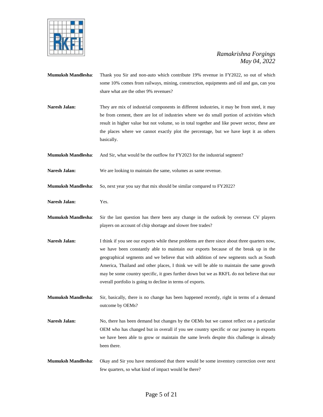

- **Mumuksh Mandlesha**: Thank you Sir and non-auto which contribute 19% revenue in FY2022, so out of which some 10% comes from railways, mining, construction, equipments and oil and gas, can you share what are the other 9% revenues?
- Naresh Jalan: They are mix of industrial components in different industries, it may be from steel, it may be from cement, there are lot of industries where we do small portion of activities which result in higher value but not volume, so in total together and like power sector, these are the places where we cannot exactly plot the percentage, but we have kept it as others basically.
- **Mumuksh Mandlesha**: And Sir, what would be the outflow for FY2023 for the industrial segment?
- **Naresh Jalan:** We are looking to maintain the same, volumes as same revenue.
- **Mumuksh Mandlesha**: So, next year you say that mix should be similar compared to FY2022?
- **Naresh Jalan:** Yes.
- **Mumuksh Mandlesha**: Sir the last question has there been any change in the outlook by overseas CV players players on account of chip shortage and slower free trades?
- **Naresh Jalan:** I think if you see our exports while these problems are there since about three quarters now, we have been constantly able to maintain our exports because of the break up in the geographical segments and we believe that with addition of new segments such as South America, Thailand and other places, I think we will be able to maintain the same growth may be some country specific, it goes further down but we as RKFL do not believe that our overall portfolio is going to decline in terms of exports.
- **Mumuksh Mandlesha**: Sir, basically, there is no change has been happened recently, right in terms of a demand outcome by OEMs?
- Naresh Jalan: No, there has been demand but changes by the OEMs but we cannot reflect on a particular OEM who has changed but in overall if you see country specific or our journey in exports we have been able to grow or maintain the same levels despite this challenge is already been there.
- **Mumuksh Mandlesha**: Okay and Sir you have mentioned that there would be some inventory correction over next few quarters, so what kind of impact would be there?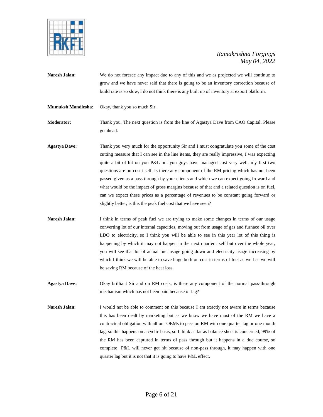

- **Naresh Jalan:** We do not foresee any impact due to any of this and we as projected we will continue to grow and we have never said that there is going to be an inventory correction because of build rate is so slow, I do not think there is any built up of inventory at export platform.
- **Mumuksh Mandlesha**: Okay, thank you so much Sir.

**Moderator:** Thank you. The next question is from the line of Agastya Dave from CAO Capital. Please go ahead.

- **Agastya Dave:** Thank you very much for the opportunity Sir and I must congratulate you some of the cost cutting measure that I can see in the line items, they are really impressive, I was expecting quite a bit of hit on you P&L but you guys have managed cost very well, my first two questions are on cost itself. Is there any component of the RM pricing which has not been passed given as a pass through by your clients and which we can expect going froward and what would be the impact of gross margins because of that and a related question is on fuel, can we expect these prices as a percentage of revenues to be constant going forward or slightly better, is this the peak fuel cost that we have seen?
- **Naresh Jalan:** I think in terms of peak fuel we are trying to make some changes in terms of our usage converting lot of our internal capacities, moving out from usage of gas and furnace oil over LDO to electricity, so I think you will be able to see in this year lot of this thing is happening by which it may not happen in the next quarter itself but over the whole year, you will see that lot of actual fuel usage going down and electricity usage increasing by which I think we will be able to save huge both on cost in terms of fuel as well as we will be saving RM because of the heat loss.
- **Agastya Dave:** Okay brilliant Sir and on RM costs, is there any component of the normal pass-through mechanism which has not been paid because of lag?
- Naresh Jalan: I would not be able to comment on this because I am exactly not aware in terms because this has been dealt by marketing but as we know we have most of the RM we have a contractual obligation with all our OEMs to pass on RM with one quarter lag or one month lag, so this happens on a cyclic basis, so I think as far as balance sheet is concerned, 99% of the RM has been captured in terms of pass through but it happens in a due course, so complete P&L will never get hit because of non-pass through, it may happen with one quarter lag but it is not that it is going to have P&L effect.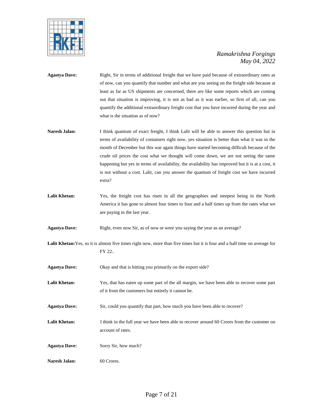

- **Agastya Dave:** Right, Sir in terms of additional freight that we have paid because of extraordinary rates as of now, can you quantify that number and what are you seeing on the freight side because at least as far as US shipments are concerned, there are like some reports which are coming out that situation is improving, it is not as bad as it was earlier, so first of all, can you quantify the additional extraordinary freight cost that you have incurred during the year and what is the situation as of now?
- **Naresh Jalan:** I think quantum of exact freight, I think Lalit will be able to answer this question but in terms of availability of containers right now, yes situation is better than what it was in the month of December but this war again things have started becoming difficult because of the crude oil prices the cost what we thought will come down, we are not seeing the same happening but yes in terms of availability, the availability has improved but it is at a cost, it is not without a cost. Lalit, can you answer the quantum of freight cost we have incurred extra?
- Lalit Khetan: Yes, the freight cost has risen in all the geographies and steepest being in the North America it has gone to almost four times to four and a half times up from the rates what we are paying in the last year.

**Agastya Dave:** Right, even now Sir, as of now or were you saying the year as an average?

Lalit Khetan: Yes, so it is almost five times right now, more than five times but it is four and a half time on average for FY 22..

**Agastya Dave:** Okay and that is hitting you primarily on the export side?

- **Lalit Khetan:** Yes, that has eaten up some part of the all margin, we have been able to recover some part of it from the customers but entirely it cannot be.
- **Agastya Dave:** Sir, could you quantify that part, how much you have been able to recover?
- Lalit Khetan: I think in the full year we have been able to recover around 60 Crores from the customer on account of rates.
- **Agastya Dave:** Sorry Sir, how much?
- Naresh Jalan: 60 Crores.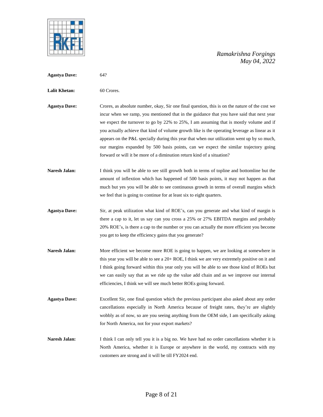

- **Agastya Dave:** 64?
- Lalit Khetan: 60 Crores.
- **Agastya Dave:** Crores, as absolute number, okay, Sir one final question, this is on the nature of the cost we incur when we ramp, you mentioned that in the guidance that you have said that next year we expect the turnover to go by 22% to 25%, I am assuming that is mostly volume and if you actually achieve that kind of volume growth like is the operating leverage as linear as it appears on the P&L specially during this year that when our utilization went up by so much, our margins expanded by 500 basis points, can we expect the similar trajectory going forward or will it be more of a diminution return kind of a situation?
- **Naresh Jalan:** I think you will be able to see still growth both in terms of topline and bottomline but the amount of inflextion which has happened of 500 basis points, it may not happen as that much but yes you will be able to see continuous growth in terms of overall margins which we feel that is going to continue for at least six to eight quarters.
- **Agastya Dave:** Sir, at peak utilization what kind of ROE's, can you generate and what kind of margin is there a cap to it, let us say can you cross a 25% or 27% EBITDA margins and probably 20% ROE's, is there a cap to the number or you can actually the more efficient you become you get to keep the efficiency gains that you generate?
- Naresh Jalan: More efficient we become more ROE is going to happen, we are looking at somewhere in this year you will be able to see a 20+ ROE, I think we are very extremely positive on it and I think going forward within this year only you will be able to see those kind of ROEs but we can easily say that as we ride up the value add chain and as we improve our internal efficiencies, I think we will see much better ROEs going forward.
- **Agastya Dave:** Excellent Sir, one final question which the previous participant also asked about any order cancellations especially in North America because of freight rates, they're are slightly wobbly as of now, so are you seeing anything from the OEM side, I am specifically asking for North America, not for your export markets?
- Naresh Jalan: I think I can only tell you it is a big no. We have had no order cancellations whether it is North America, whether it is Europe or anywhere in the world, my contracts with my customers are strong and it will be till FY2024 end.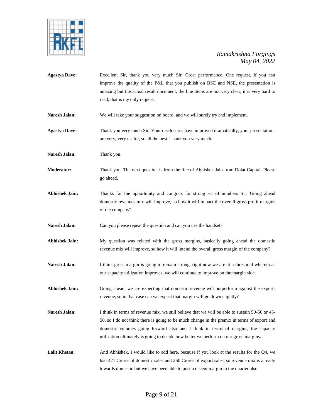

**Agastya Dave:** Excellent Sir, thank you very much Sir. Great performance. One request, if you can improve the quality of the P&L that you publish on BSE and NSE, the presentation is amazing but the actual result document, the line items are not very clear, it is very hard to read, that is my only request. Naresh Jalan: We will take your suggestion on board, and we will surely try and implement. **Agastya Dave:** Thank you very much Sir. Your disclosures have improved dramatically, your presentations are very, very useful, so all the best. Thank you very much. Naresh Jalan: Thank you. **Moderator:** Thank you. The next question is from the line of Abhishek Jain from Dolat Capital. Please go ahead. **Abhishek Jain:** Thanks for the opportunity and congrats for strong set of numbers Sir. Going ahead domestic revenues mix will improve, so how it will impact the overall gross profit margins of the company? Naresh Jalan: Can you please repeat the question and can you use the handset? **Abhishek Jain:** My question was related with the gross margins, basically going ahead the domestic revenue mix will improve, so how it will intend the overall gross margin of the company? Naresh Jalan: I think gross margin is going to remain strong, right now we are at a threshold wherein as our capacity utilization improves, we will continue to improve on the margin side. **Abhishek Jain:** Going ahead, we are expecting that domestic revenue will outperform against the exports revenue, so in that case can we expect that margin will go down slightly? Naresh Jalan: I think in terms of revenue mix, we still believe that we will be able to sustain 50-50 or 45-50, so I do not think there is going to be much change in the premix in terms of export and domestic volumes going forward also and I think in terms of margins, the capacity utilization ultimately is going to decide how better we perform on our gross margins. Lalit Khetan: And Abhishek, I would like to add here, because if you look at the results for the Q4, we had 421 Crores of domestic sales and 260 Crores of export sales, so revenue mix is already towards domestic but we have been able to post a decent margin in the quarter also.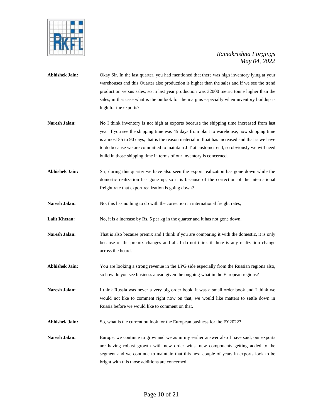

- **Abhishek Jain:** Okay Sir. In the last quarter, you had mentioned that there was high inventory lying at your warehouses and this Quarter also production is higher than the sales and if we see the trend production versus sales, so in last year production was 32000 metric tonne higher than the sales, in that case what is the outlook for the margins especially when inventory buildup is high for the exports?
- **Naresh Jalan: No I** think inventory is not high at exports because the shipping time increased from last year if you see the shipping time was 45 days from plant to warehouse, now shipping time is almost 85 to 90 days, that is the reason material in float has increased and that is we have to do because we are committed to maintain JIT at customer end, so obviously we will need build in those shipping time in terms of our inventory is concerned.
- **Abhishek Jain:** Sir, during this quarter we have also seen the export realization has gone down while the domestic realization has gone up, so it is because of the correction of the international freight rate that export realization is going down?
- Naresh Jalan: No, this has nothing to do with the correction in international freight rates,

**Lalit Khetan:** No, it is a increase by Rs. 5 per kg in the quarter and it has not gone down.

- **Naresh Jalan:** That is also because premix and I think if you are comparing it with the domestic, it is only because of the premix changes and all. I do not think if there is any realization change across the board.
- **Abhishek Jain:** You are looking a strong revenue in the LPG side especially from the Russian regions also, so how do you see business ahead given the ongoing what in the European regions?
- **Naresh Jalan:** I think Russia was never a very big order book, it was a small order book and I think we would not like to comment right now on that, we would like matters to settle down in Russia before we would like to comment on that.
- **Abhishek Jain:** So, what is the current outlook for the European business for the FY2022?
- **Naresh Jalan:** Europe, we continue to grow and we as in my earlier answer also I have said, our exports are having robust growth with new order wins, new components getting added to the segment and we continue to maintain that this next couple of years in exports look to be bright with this those additions are concerned.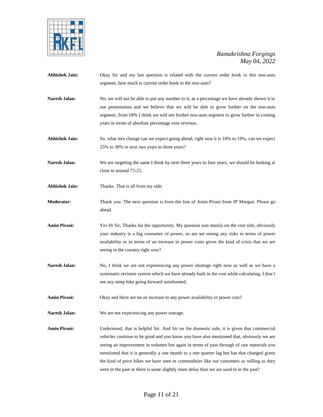

- **Abhishek Jain:** Okay Sir and my last question is related with the current order book in this non-auto segment, how much is current order book in the non-auto?
- Naresh Jalan: No, we will not be able to put any number to it, as a percentage we have already shown it in our presentation and we believe that we will be able to grow further on the non-auto segment, from 18% I think we will see further non-auto segment to grow further in coming years in terms of absolute percentage over revenue.
- **Abhishek Jain:** So, what mix change can we expect going ahead, right now it is 18% to 19%, can we expect 25% to 30% in next two years to three years?
- **Naresh Jalan:** We are targeting the same I think by next three years to four years, we should be looking at close to around 75-25.
- **Abhishek Jain:** Thanks. That is all from my side.
- **Moderator:** Thank you. The next question is from the line of Amin Pirani from JP Morgan. Please go ahead.
- **Amin Pirani:** Yes Hi Sir, Thanks for the opportunity. My question was mainly on the cost side, obviously your industry is a big consumer of power, so are we seeing any risks in terms of power availability or in terms of an increase in power costs given the kind of crisis that we are seeing in the country right now?
- **Naresh Jalan:** No, I think we are not experiencing any power shortage right now as well as we have a systematic revision system which we have already built in the cost while calculating, I don't see any steep hike going forward uninformed.
- **Amin Pirani:** Okay and there are no an increase in any power availability or power cuts?
- **Naresh Jalan:** We are not experiencing any power outrage.

**Amin Pirani:** Understood, that is helpful Sir. And Sir on the domestic side, it is given that commercial vehicles continue to be good and you know you have also mentioned that, obviously we are seeing an improvement in volumes but again in terms of pass through of raw materials you mentioned that it is generally a one month to a one quarter lag but has that changed given the kind of price hikes we have seen in commodities like our customers as willing as they were in the past or there is some slightly more delay than we are used to in the past?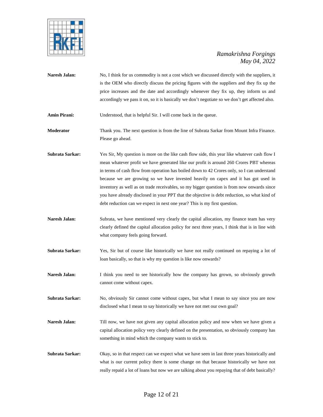

- Naresh Jalan: No, I think for us commodity is not a cost which we discussed directly with the suppliers, it is the OEM who directly discuss the pricing figures with the suppliers and they fix up the price increases and the date and accordingly whenever they fix up, they inform us and accordingly we pass it on, so it is basically we don't negotiate so we don't get affected also.
- Amin Pirani: Understood, that is helpful Sir. I will come back in the queue.
- **Moderator** Thank you. The next question is from the line of Subrata Sarkar from Mount Infra Finance. Please go ahead.
- **Subrata Sarkar:** Yes Sir, My question is more on the like cash flow side, this year like whatever cash flow I mean whatever profit we have generated like our profit is around 260 Crores PBT whereas in terms of cash flow from operation has boiled down to 42 Crores only, so I can understand because we are growing so we have invested heavily on capex and it has got used in inventory as well as on trade receivables, so my bigger question is from now onwards since you have already disclosed in your PPT that the objective is debt reduction, so what kind of debt reduction can we expect in next one year? This is my first question.
- Naresh Jalan: Subrata, we have mentioned very clearly the capital allocation, my finance team has very clearly defined the capital allocation policy for next three years, I think that is in line with what company feels going forward.
- **Subrata Sarkar:** Yes, Sir but of course like historically we have not really continued on repaying a lot of loan basically, so that is why my question is like now onwards?
- Naresh Jalan: I think you need to see historically how the company has grown, so obviously growth cannot come without capex.
- **Subrata Sarkar:** No, obviously Sir cannot come without capex, but what I mean to say since you are now disclosed what I mean to say historically we have not met our own goal?
- **Naresh Jalan:** Till now, we have not given any capital allocation policy and now when we have given a capital allocation policy very clearly defined on the presentation, so obviously company has something in mind which the company wants to stick to.
- **Subrata Sarkar:** Okay, so in that respect can we expect what we have seen in last three years historically and what is our current policy there is some change on that because historically we have not really repaid a lot of loans but now we are talking about you repaying that of debt basically?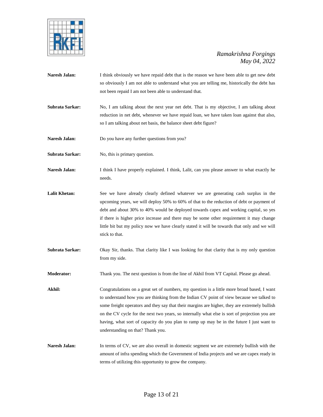

- Naresh Jalan: I think obviously we have repaid debt that is the reason we have been able to get new debt so obviously I am not able to understand what you are telling me, historically the debt has not been repaid I am not been able to understand that.
- **Subrata Sarkar:** No, I am talking about the next year net debt. That is my objective, I am talking about reduction in net debt, whenever we have repaid loan, we have taken loan against that also, so I am talking about net basis, the balance sheet debt figure?
- Naresh Jalan: Do you have any further questions from you?
- **Subrata Sarkar:** No, this is primary question.
- Naresh Jalan: I think I have properly explained. I think, Lalit, can you please answer to what exactly he needs.
- **Lalit Khetan:** See we have already clearly defined whatever we are generating cash surplus in the upcoming years, we will deploy 50% to 60% of that to the reduction of debt or payment of debt and about 30% to 40% would be deployed towards capex and working capital, so yes if there is higher price increase and there may be some other requirement it may change little bit but my policy now we have clearly stated it will be towards that only and we will stick to that.
- **Subrata Sarkar:** Okay Sir, thanks. That clarity like I was looking for that clarity that is my only question from my side.
- **Moderator:** Thank you. The next question is from the line of Akhil from VT Capital. Please go ahead.
- Akhil: Congratulations on a great set of numbers, my question is a little more broad based, I want to understand how you are thinking from the Indian CV point of view because we talked to some freight operators and they say that their margins are higher, they are extremely bullish on the CV cycle for the next two years, so internally what else is sort of projection you are having, what sort of capacity do you plan to ramp up may be in the future I just want to understanding on that? Thank you.
- Naresh Jalan: In terms of CV, we are also overall in domestic segment we are extremely bullish with the amount of infra spending which the Government of India projects and we are capex ready in terms of utilizing this opportunity to grow the company.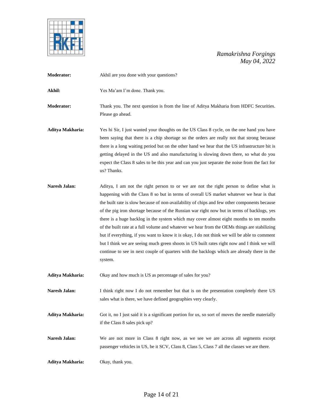

| <b>Moderator:</b>    | Akhil are you done with your questions?                                                                                                                                                                                                                                                                                                                                                                                                                                                                                                                                                                                                                                                                                                                                                                                                                                              |
|----------------------|--------------------------------------------------------------------------------------------------------------------------------------------------------------------------------------------------------------------------------------------------------------------------------------------------------------------------------------------------------------------------------------------------------------------------------------------------------------------------------------------------------------------------------------------------------------------------------------------------------------------------------------------------------------------------------------------------------------------------------------------------------------------------------------------------------------------------------------------------------------------------------------|
| Akhil:               | Yes Ma'am I'm done. Thank you.                                                                                                                                                                                                                                                                                                                                                                                                                                                                                                                                                                                                                                                                                                                                                                                                                                                       |
| <b>Moderator:</b>    | Thank you. The next question is from the line of Aditya Makharia from HDFC Securities.<br>Please go ahead.                                                                                                                                                                                                                                                                                                                                                                                                                                                                                                                                                                                                                                                                                                                                                                           |
| Aditya Makharia:     | Yes hi Sir, I just wanted your thoughts on the US Class 8 cycle, on the one hand you have<br>been saying that there is a chip shortage so the orders are really not that strong because<br>there is a long waiting period but on the other hand we hear that the US infrastructure bit is<br>getting delayed in the US and also manufacturing is slowing down there, so what do you<br>expect the Class 8 sales to be this year and can you just separate the noise from the fact for<br>us? Thanks.                                                                                                                                                                                                                                                                                                                                                                                 |
| <b>Naresh Jalan:</b> | Aditya, I am not the right person to or we are not the right person to define what is<br>happening with the Class 8 so but in terms of overall US market whatever we hear is that<br>the built rate is slow because of non-availability of chips and few other components because<br>of the pig iron shortage because of the Russian war right now but in terms of backlogs, yes<br>there is a huge backlog in the system which may cover almost eight months to ten months<br>of the built rate at a full volume and whatever we hear from the OEMs things are stabilizing<br>but if everything, if you want to know it is okay, I do not think we will be able to comment<br>but I think we are seeing much green shoots in US built rates right now and I think we will<br>continue to see in next couple of quarters with the backlogs which are already there in the<br>system. |
| Aditya Makharia:     | Okay and how much is US as percentage of sales for you?                                                                                                                                                                                                                                                                                                                                                                                                                                                                                                                                                                                                                                                                                                                                                                                                                              |
| Naresh Jalan:        | I think right now I do not remember but that is on the presentation completely there US<br>sales what is there, we have defined geographies very clearly.                                                                                                                                                                                                                                                                                                                                                                                                                                                                                                                                                                                                                                                                                                                            |
| Aditya Makharia:     | Got it, no I just said it is a significant portion for us, so sort of moves the needle materially<br>if the Class 8 sales pick up?                                                                                                                                                                                                                                                                                                                                                                                                                                                                                                                                                                                                                                                                                                                                                   |
| Naresh Jalan:        | We are not more in Class 8 right now, as we see we are across all segments except<br>passenger vehicles in US, be it SCV, Class 8, Class 5, Class 7 all the classes we are there.                                                                                                                                                                                                                                                                                                                                                                                                                                                                                                                                                                                                                                                                                                    |
| Aditya Makharia:     | Okay, thank you.                                                                                                                                                                                                                                                                                                                                                                                                                                                                                                                                                                                                                                                                                                                                                                                                                                                                     |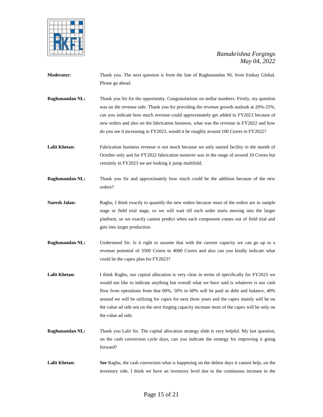

- **Moderator:** Thank you. The next question is from the line of Raghunandan NL from Emkay Global. Please go ahead.
- **Raghunandan NL:** Thank you Sir for the opportunity. Congratulations on stellar numbers. Firstly, my question was on the revenue side. Thank you for providing the revenue growth outlook at 20%-25%, can you indicate how much revenue could approximately get added in FY2023 because of new orders and also on the fabrication business, what was the revenue in FY2022 and how do you see it increasing in FY2023, would it be roughly around 100 Crores in FY2022?
- Lalit Khetan: Fabrication business revenue is not much because we only started facility in the month of October only and for FY2022 fabrication turnover was in the range of around 10 Crores but certainly in FY2023 we are looking it jump multifold.
- **Raghunandan NL:** Thank you Sir and approximately how much could be the addition because of the new orders?
- Naresh Jalan: Raghu, I think exactly to quantify the new orders because most of the orders are in sample stage or field trial stage, so we will wait till each order starts moving into the larger platform, so we exactly cannot predict when each component comes out of field trial and gets into larger production.
- **Raghunandan NL:** Understood Sir. Is it right to assume that with the current capacity we can go up to a revenue potential of 3500 Crores to 4000 Crores and also can you kindly indicate what could be the capex plan for FY2023?
- Lalit Khetan: I think Raghu, our capital allocation is very clear in terms of specifically for FY2023 we would not like to indicate anything but overall what we have said is whatever is our cash flow from operations from that 60%, 50% to 60% will be paid as debt and balance, 40% around we will be utilizing for capex for next three years and the capex mainly will be on the value ad side not on the next forging capacity increase most of the capex will be only on the value ad side.
- **Raghunandan NL:** Thank you Lalit Sir. The capital allocation strategy slide is very helpful. My last question, on the cash conversion cycle days, can you indicate the strategy for improving it going forward?
- **Lalit Khetan: See** Raghu, the cash conversion what is happening on the debtor days it cannot help, on the inventory side, I think we have an inventory level due to the continuous increase in the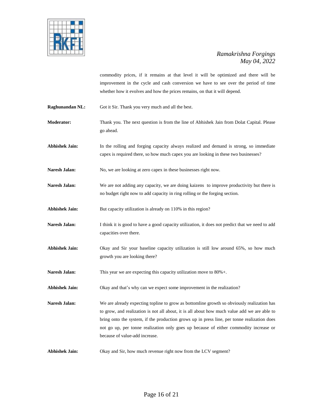

commodity prices, if it remains at that level it will be optimized and there will be improvement in the cycle and cash conversion we have to see over the period of time whether how it evolves and how the prices remains, on that it will depend.

- **Raghunandan NL:** Got it Sir. Thank you very much and all the best.
- **Moderator:** Thank you. The next question is from the line of Abhishek Jain from Dolat Capital. Please go ahead.
- **Abhishek Jain:** In the rolling and forging capacity always realized and demand is strong, so immediate capex is required there, so how much capex you are looking in these two businesses?
- Naresh Jalan: No, we are looking at zero capex in these businesses right now.
- Naresh Jalan: We are not adding any capacity, we are doing kaizens to improve productivity but there is no budget right now to add capacity in ring rolling or the forging section.
- Abhishek Jain: But capacity utilization is already on 110% in this region?
- Naresh Jalan: I think it is good to have a good capacity utilization, it does not predict that we need to add capacities over there.
- **Abhishek Jain:** Okay and Sir your baseline capacity utilization is still low around 65%, so how much growth you are looking there?
- Naresh Jalan: This year we are expecting this capacity utilization move to 80%+.
- **Abhishek Jain:** Okay and that's why can we expect some improvement in the realization?

Naresh Jalan: We are already expecting topline to grow as bottomline growth so obviously realization has to grow, and realization is not all about, it is all about how much value add we are able to bring onto the system, if the production grows up in press line, per tonne realization does not go up, per tonne realization only goes up because of either commodity increase or because of value-add increase.

**Abhishek Jain:** Okay and Sir, how much revenue right now from the LCV segment?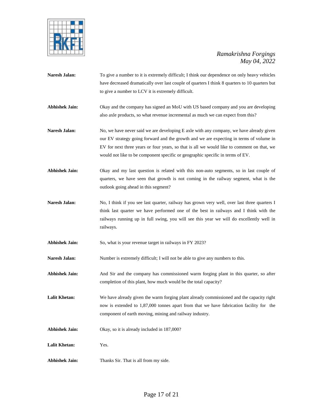

- **Naresh Jalan:** To give a number to it is extremely difficult; I think our dependence on only heavy vehicles have decreased dramatically over last couple of quarters I think 8 quarters to 10 quarters but to give a number to LCV it is extremely difficult.
- **Abhishek Jain:** Okay and the company has signed an MoU with US based company and you are developing also axle products, so what revenue incremental as much we can expect from this?
- Naresh Jalan: No, we have never said we are developing E axle with any company, we have already given our EV strategy going forward and the growth and we are expecting in terms of volume in EV for next three years or four years, so that is all we would like to comment on that, we would not like to be component specific or geographic specific in terms of EV.
- **Abhishek Jain:** Okay and my last question is related with this non-auto segments, so in last couple of quarters, we have seen that growth is not coming in the railway segment, what is the outlook going ahead in this segment?
- Naresh Jalan: No, I think if you see last quarter, railway has grown very well, over last three quarters I think last quarter we have performed one of the best in railways and I think with the railways running up in full swing, you will see this year we will do excellently well in railways.
- Abhishek Jain: So, what is your revenue target in railways in FY 2023?
- **Naresh Jalan:** Number is extremely difficult; I will not be able to give any numbers to this.
- Abhishek Jain: And Sir and the company has commissioned warm forging plant in this quarter, so after completion of this plant, how much would be the total capacity?
- **Lalit Khetan:** We have already given the warm forging plant already commissioned and the capacity right now is extended to 1,87,000 tonnes apart from that we have fabrication facility for the component of earth moving, mining and railway industry.
- **Abhishek Jain:** Okay, so it is already included in 187,000?
- **Lalit Khetan:** Yes.
- **Abhishek Jain:** Thanks Sir. That is all from my side.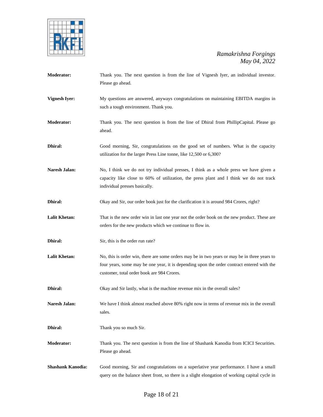

| <b>Moderator:</b>        | Thank you. The next question is from the line of Vignesh Iyer, an individual investor.<br>Please go ahead.                                                                                                                               |
|--------------------------|------------------------------------------------------------------------------------------------------------------------------------------------------------------------------------------------------------------------------------------|
| <b>Vignesh Iyer:</b>     | My questions are answered, anyways congratulations on maintaining EBITDA margins in<br>such a tough environment. Thank you.                                                                                                              |
| <b>Moderator:</b>        | Thank you. The next question is from the line of Dhiral from PhillipCapital. Please go<br>ahead.                                                                                                                                         |
| Dhiral:                  | Good morning, Sir, congratulations on the good set of numbers. What is the capacity<br>utilization for the larger Press Line tonne, like 12,500 or 6,300?                                                                                |
| Naresh Jalan:            | No, I think we do not try individual presses, I think as a whole press we have given a<br>capacity like close to 60% of utilization, the press plant and I think we do not track<br>individual presses basically.                        |
| Dhiral:                  | Okay and Sir, our order book just for the clarification it is around 984 Crores, right?                                                                                                                                                  |
| <b>Lalit Khetan:</b>     | That is the new order win in last one year not the order book on the new product. These are<br>orders for the new products which we continue to flow in.                                                                                 |
| Dhiral:                  | Sir, this is the order run rate?                                                                                                                                                                                                         |
| <b>Lalit Khetan:</b>     | No, this is order win, there are some orders may be in two years or may be in three years to<br>four years, some may be one year, it is depending upon the order contract entered with the<br>customer, total order book are 984 Crores. |
| Dhiral:                  | Okay and Sir lastly, what is the machine revenue mix in the overall sales?                                                                                                                                                               |
| <b>Naresh Jalan:</b>     | We have I think almost reached above 80% right now in terms of revenue mix in the overall<br>sales.                                                                                                                                      |
| Dhiral:                  | Thank you so much Sir.                                                                                                                                                                                                                   |
| <b>Moderator:</b>        | Thank you. The next question is from the line of Shashank Kanodia from ICICI Securities.<br>Please go ahead.                                                                                                                             |
| <b>Shashank Kanodia:</b> | Good morning, Sir and congratulations on a superlative year performance. I have a small<br>query on the balance sheet front, so there is a slight elongation of working capital cycle in                                                 |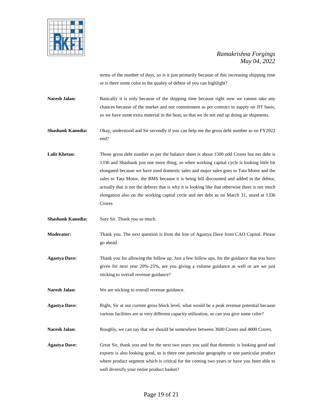

terms of the number of days, so is it just primarily because of this increasing shipping time or is there some color to the quality of debtor of you can highlight?

Naresh Jalan: Basically it is only because of the shipping time because right now we cannot take any chances because of the market and our commitment as per contract to supply on JIT basis, so we have some extra material in the boat, so that we do not end up doing air shipments.

**Shashank Kanodia:** Okay, understood and Sir secondly if you can help me the gross debt number as on FY2022 end?

**Lalit Khetan:** Those gross debt number as per the balance sheet is about 1500 odd Crores but net debt is 1336 and Shashank just one more thing, so when working capital cycle is looking little bit elongated because we have used domestic sales and major sales goes to Tata Motor and the sales to Tata Motor, the BMS because it is being bill discounted and added in the debtor, actually that is not the debtors that is why it is looking like that otherwise there is not much elongation also on the working capital cycle and net debt as on March 31, stood at 1336 Crores.

**Shashank Kanodia:** Sure Sir. Thank you so much.

**Moderator:** Thank you. The next question is from the line of Agastya Dave from CAO Capital. Please go ahead.

**Agastya Dave:** Thank you for allowing the follow up. Just a few follow ups, for the guidance that you have given for next year 20%-25%, are you giving a volume guidance as well or are we just sticking to overall revenue guidance?

Naresh Jalan: We are sticking to overall revenue guidance.

**Agastya Dave:** Right, Sir at our current gross block level, what would be a peak revenue potential because various facilities are at very different capacity utilization, so can you give some color?

Naresh Jalan: Roughly, we can say that we should be somewhere between 3600 Crores and 4000 Crores.

**Agastya Dave:** Great Sir, thank you and for the next two years you said that domestic is looking good and exports is also looking good, so is there one particular geography or one particular product where product segment which is critical for the coming two years or have you been able to well diversify your entire product basket?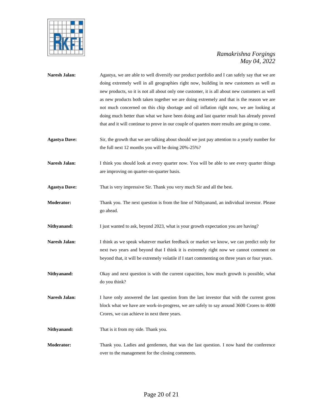

| Naresh Jalan:        | Agastya, we are able to well diversify our product portfolio and I can safely say that we are<br>doing extremely well in all geographies right now, building in new customers as well as<br>new products, so it is not all about only one customer, it is all about new customers as well<br>as new products both taken together we are doing extremely and that is the reason we are<br>not much concerned on this chip shortage and oil inflation right now, we are looking at<br>doing much better than what we have been doing and last quarter result has already proved<br>that and it will continue to prove in our couple of quarters more results are going to come. |
|----------------------|-------------------------------------------------------------------------------------------------------------------------------------------------------------------------------------------------------------------------------------------------------------------------------------------------------------------------------------------------------------------------------------------------------------------------------------------------------------------------------------------------------------------------------------------------------------------------------------------------------------------------------------------------------------------------------|
| <b>Agastya Dave:</b> | Sir, the growth that we are talking about should we just pay attention to a yearly number for<br>the full next 12 months you will be doing 20%-25%?                                                                                                                                                                                                                                                                                                                                                                                                                                                                                                                           |
| Naresh Jalan:        | I think you should look at every quarter now. You will be able to see every quarter things<br>are improving on quarter-on-quarter basis.                                                                                                                                                                                                                                                                                                                                                                                                                                                                                                                                      |
| <b>Agastya Dave:</b> | That is very impressive Sir. Thank you very much Sir and all the best.                                                                                                                                                                                                                                                                                                                                                                                                                                                                                                                                                                                                        |
| Moderator:           | Thank you. The next question is from the line of Nithyanand, an individual investor. Please<br>go ahead.                                                                                                                                                                                                                                                                                                                                                                                                                                                                                                                                                                      |
| Nithyanand:          | I just wanted to ask, beyond 2023, what is your growth expectation you are having?                                                                                                                                                                                                                                                                                                                                                                                                                                                                                                                                                                                            |
| Naresh Jalan:        | I think as we speak whatever market feedback or market we know, we can predict only for<br>next two years and beyond that I think it is extremely right now we cannot comment on<br>beyond that, it will be extremely volatile if I start commenting on three years or four years.                                                                                                                                                                                                                                                                                                                                                                                            |
| Nithyanand:          | Okay and next question is with the current capacities, how much growth is possible, what<br>do you think?                                                                                                                                                                                                                                                                                                                                                                                                                                                                                                                                                                     |
| Naresh Jalan:        | I have only answered the last question from the last investor that with the current gross<br>block what we have are work-in-progress, we are safely to say around 3600 Crores to 4000<br>Crores, we can achieve in next three years.                                                                                                                                                                                                                                                                                                                                                                                                                                          |
| Nithyanand:          | That is it from my side. Thank you.                                                                                                                                                                                                                                                                                                                                                                                                                                                                                                                                                                                                                                           |
| <b>Moderator:</b>    | Thank you. Ladies and gentlemen, that was the last question. I now hand the conference<br>over to the management for the closing comments.                                                                                                                                                                                                                                                                                                                                                                                                                                                                                                                                    |